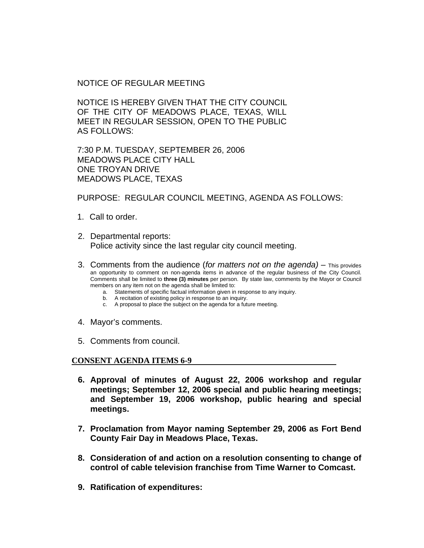## NOTICE OF REGULAR MEETING

NOTICE IS HEREBY GIVEN THAT THE CITY COUNCIL OF THE CITY OF MEADOWS PLACE, TEXAS, WILL MEET IN REGULAR SESSION, OPEN TO THE PUBLIC AS FOLLOWS:

7:30 P.M. TUESDAY, SEPTEMBER 26, 2006 MEADOWS PLACE CITY HALL ONE TROYAN DRIVE MEADOWS PLACE, TEXAS

PURPOSE: REGULAR COUNCIL MEETING, AGENDA AS FOLLOWS:

- 1. Call to order.
- 2. Departmental reports: Police activity since the last regular city council meeting.
- 3. Comments from the audience (*for matters not on the agenda)* This provides an opportunity to comment on non-agenda items in advance of the regular business of the City Council. Comments shall be limited to **three (3) minutes** per person. By state law, comments by the Mayor or Council members on any item not on the agenda shall be limited to:
	- a. Statements of specific factual information given in response to any inquiry.
	- b. A recitation of existing policy in response to an inquiry.
	- c. A proposal to place the subject on the agenda for a future meeting.
- 4. Mayor's comments.
- 5. Comments from council.

## **CONSENT AGENDA ITEMS 6-9**

- **6. Approval of minutes of August 22, 2006 workshop and regular meetings; September 12, 2006 special and public hearing meetings; and September 19, 2006 workshop, public hearing and special meetings.**
- **7. Proclamation from Mayor naming September 29, 2006 as Fort Bend County Fair Day in Meadows Place, Texas.**
- **8. Consideration of and action on a resolution consenting to change of control of cable television franchise from Time Warner to Comcast.**
- **9. Ratification of expenditures:**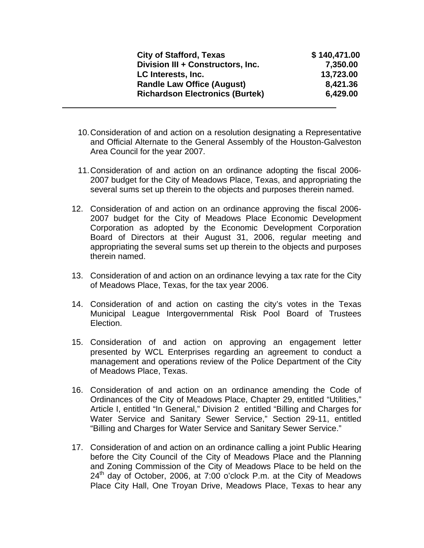| <b>City of Stafford, Texas</b>         | \$140,471.00 |
|----------------------------------------|--------------|
| Division III + Constructors, Inc.      | 7,350.00     |
| LC Interests, Inc.                     | 13,723.00    |
| <b>Randle Law Office (August)</b>      | 8,421.36     |
| <b>Richardson Electronics (Burtek)</b> | 6,429.00     |

10. Consideration of and action on a resolution designating a Representative and Official Alternate to the General Assembly of the Houston-Galveston Area Council for the year 2007.

- 11. Consideration of and action on an ordinance adopting the fiscal 2006- 2007 budget for the City of Meadows Place, Texas, and appropriating the several sums set up therein to the objects and purposes therein named.
- 12. Consideration of and action on an ordinance approving the fiscal 2006- 2007 budget for the City of Meadows Place Economic Development Corporation as adopted by the Economic Development Corporation Board of Directors at their August 31, 2006, regular meeting and appropriating the several sums set up therein to the objects and purposes therein named.
- 13. Consideration of and action on an ordinance levying a tax rate for the City of Meadows Place, Texas, for the tax year 2006.
- 14. Consideration of and action on casting the city's votes in the Texas Municipal League Intergovernmental Risk Pool Board of Trustees Election.
- 15. Consideration of and action on approving an engagement letter presented by WCL Enterprises regarding an agreement to conduct a management and operations review of the Police Department of the City of Meadows Place, Texas.
- 16. Consideration of and action on an ordinance amending the Code of Ordinances of the City of Meadows Place, Chapter 29, entitled "Utilities," Article I, entitled "In General," Division 2 entitled "Billing and Charges for Water Service and Sanitary Sewer Service," Section 29-11, entitled "Billing and Charges for Water Service and Sanitary Sewer Service."
- 17. Consideration of and action on an ordinance calling a joint Public Hearing before the City Council of the City of Meadows Place and the Planning and Zoning Commission of the City of Meadows Place to be held on the  $24<sup>th</sup>$  day of October, 2006, at 7:00 o'clock P.m. at the City of Meadows Place City Hall, One Troyan Drive, Meadows Place, Texas to hear any